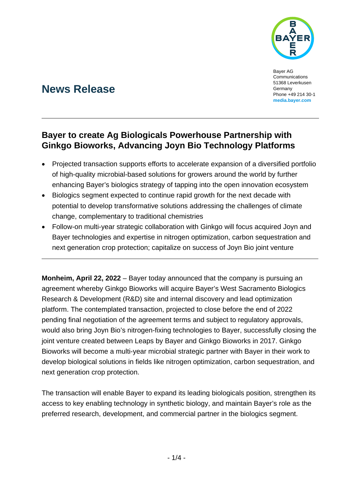

Bayer AG Communications 51368 Leverkusen Germany Phone +49 214 30-1 **[media.bayer.com](http://media.bayer.com/)**

# **News Release**

## **Bayer to create Ag Biologicals Powerhouse Partnership with Ginkgo Bioworks, Advancing Joyn Bio Technology Platforms**

- Projected transaction supports efforts to accelerate expansion of a diversified portfolio of high-quality microbial-based solutions for growers around the world by further enhancing Bayer's biologics strategy of tapping into the open innovation ecosystem
- Biologics segment expected to continue rapid growth for the next decade with potential to develop transformative solutions addressing the challenges of climate change, complementary to traditional chemistries
- Follow-on multi-year strategic collaboration with Ginkgo will focus acquired Joyn and Bayer technologies and expertise in nitrogen optimization, carbon sequestration and next generation crop protection; capitalize on success of Joyn Bio joint venture

**Monheim, April 22, 2022** – Bayer today announced that the company is pursuing an agreement whereby Ginkgo Bioworks will acquire Bayer's West Sacramento Biologics Research & Development (R&D) site and internal discovery and lead optimization platform. The contemplated transaction, projected to close before the end of 2022 pending final negotiation of the agreement terms and subject to regulatory approvals, would also bring Joyn Bio's nitrogen-fixing technologies to Bayer, successfully closing the joint venture created between Leaps by Bayer and Ginkgo Bioworks in 2017. Ginkgo Bioworks will become a multi-year microbial strategic partner with Bayer in their work to develop biological solutions in fields like nitrogen optimization, carbon sequestration, and next generation crop protection.

The transaction will enable Bayer to expand its leading biologicals position, strengthen its access to key enabling technology in synthetic biology, and maintain Bayer's role as the preferred research, development, and commercial partner in the biologics segment.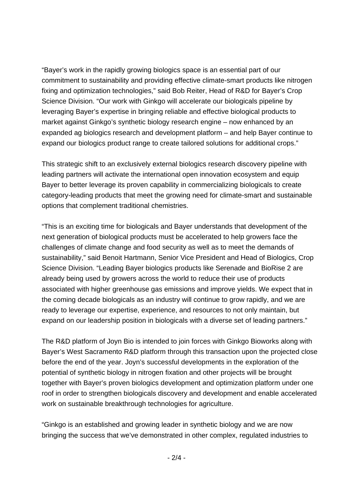"Bayer's work in the rapidly growing biologics space is an essential part of our commitment to sustainability and providing effective climate-smart products like nitrogen fixing and optimization technologies," said Bob Reiter, Head of R&D for Bayer's Crop Science Division. "Our work with Ginkgo will accelerate our biologicals pipeline by leveraging Bayer's expertise in bringing reliable and effective biological products to market against Ginkgo's synthetic biology research engine – now enhanced by an expanded ag biologics research and development platform – and help Bayer continue to expand our biologics product range to create tailored solutions for additional crops."

This strategic shift to an exclusively external biologics research discovery pipeline with leading partners will activate the international open innovation ecosystem and equip Bayer to better leverage its proven capability in commercializing biologicals to create category-leading products that meet the growing need for climate-smart and sustainable options that complement traditional chemistries.

"This is an exciting time for biologicals and Bayer understands that development of the next generation of biological products must be accelerated to help growers face the challenges of climate change and food security as well as to meet the demands of sustainability," said Benoit Hartmann, Senior Vice President and Head of Biologics, Crop Science Division. "Leading Bayer biologics products like Serenade and BioRise 2 are already being used by growers across the world to reduce their use of products associated with higher greenhouse gas emissions and improve yields. We expect that in the coming decade biologicals as an industry will continue to grow rapidly, and we are ready to leverage our expertise, experience, and resources to not only maintain, but expand on our leadership position in biologicals with a diverse set of leading partners."

The R&D platform of Joyn Bio is intended to join forces with Ginkgo Bioworks along with Bayer's West Sacramento R&D platform through this transaction upon the projected close before the end of the year. Joyn's successful developments in the exploration of the potential of synthetic biology in nitrogen fixation and other projects will be brought together with Bayer's proven biologics development and optimization platform under one roof in order to strengthen biologicals discovery and development and enable accelerated work on sustainable breakthrough technologies for agriculture.

"Ginkgo is an established and growing leader in synthetic biology and we are now bringing the success that we've demonstrated in other complex, regulated industries to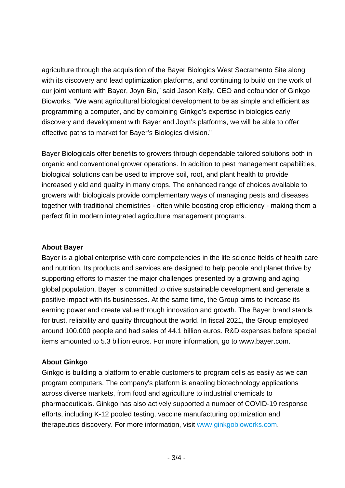agriculture through the acquisition of the Bayer Biologics West Sacramento Site along with its discovery and lead optimization platforms, and continuing to build on the work of our joint venture with Bayer, Joyn Bio," said Jason Kelly, CEO and cofounder of Ginkgo Bioworks. "We want agricultural biological development to be as simple and efficient as programming a computer, and by combining Ginkgo's expertise in biologics early discovery and development with Bayer and Joyn's platforms, we will be able to offer effective paths to market for Bayer's Biologics division."

Bayer Biologicals offer benefits to growers through dependable tailored solutions both in organic and conventional grower operations. In addition to pest management capabilities, biological solutions can be used to improve soil, root, and plant health to provide increased yield and quality in many crops. The enhanced range of choices available to growers with biologicals provide complementary ways of managing pests and diseases together with traditional chemistries - often while boosting crop efficiency - making them a perfect fit in modern integrated agriculture management programs.

## **About Bayer**

Bayer is a global enterprise with core competencies in the life science fields of health care and nutrition. Its products and services are designed to help people and planet thrive by supporting efforts to master the major challenges presented by a growing and aging global population. Bayer is committed to drive sustainable development and generate a positive impact with its businesses. At the same time, the Group aims to increase its earning power and create value through innovation and growth. The Bayer brand stands for trust, reliability and quality throughout the world. In fiscal 2021, the Group employed around 100,000 people and had sales of 44.1 billion euros. R&D expenses before special items amounted to 5.3 billion euros. For more information, go to [www.bayer.com.](http://www.bayer.com/)

## **About Ginkgo**

Ginkgo is building a platform to enable customers to program cells as easily as we can program computers. The company's platform is enabling biotechnology applications across diverse markets, from food and agriculture to industrial chemicals to pharmaceuticals. Ginkgo has also actively supported a number of COVID-19 response efforts, including K-12 pooled testing, vaccine manufacturing optimization and therapeutics discovery. For more information, visit [www.ginkgobioworks.com.](http://www.ginkgobioworks.com/)